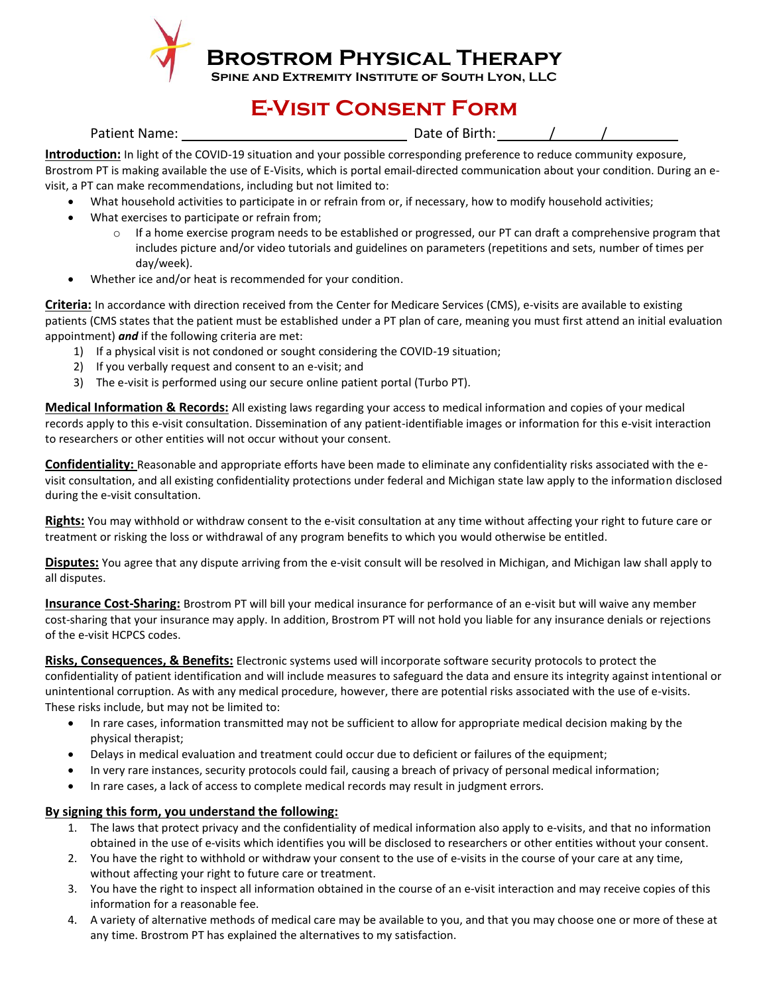

**Brostrom Physical Therapy**

**SPINE AND EXTREMITY INSTITUTE OF SOUTH LYON, LLC** 

## **E-Visit Consent Form**

Patient Name:  $\sqrt{ }$  /

**Introduction:** In light of the COVID-19 situation and your possible corresponding preference to reduce community exposure, Brostrom PT is making available the use of E-Visits, which is portal email-directed communication about your condition. During an evisit, a PT can make recommendations, including but not limited to:

- What household activities to participate in or refrain from or, if necessary, how to modify household activities;
- What exercises to participate or refrain from;
	- $\circ$  If a home exercise program needs to be established or progressed, our PT can draft a comprehensive program that includes picture and/or video tutorials and guidelines on parameters (repetitions and sets, number of times per day/week).
- Whether ice and/or heat is recommended for your condition.

**Criteria:** In accordance with direction received from the Center for Medicare Services (CMS), e-visits are available to existing patients (CMS states that the patient must be established under a PT plan of care, meaning you must first attend an initial evaluation appointment) *and* if the following criteria are met:

- 1) If a physical visit is not condoned or sought considering the COVID-19 situation;
- 2) If you verbally request and consent to an e-visit; and
- 3) The e-visit is performed using our secure online patient portal (Turbo PT).

**Medical Information & Records:** All existing laws regarding your access to medical information and copies of your medical records apply to this e-visit consultation. Dissemination of any patient-identifiable images or information for this e-visit interaction to researchers or other entities will not occur without your consent.

**Confidentiality:** Reasonable and appropriate efforts have been made to eliminate any confidentiality risks associated with the evisit consultation, and all existing confidentiality protections under federal and Michigan state law apply to the information disclosed during the e-visit consultation.

**Rights:** You may withhold or withdraw consent to the e-visit consultation at any time without affecting your right to future care or treatment or risking the loss or withdrawal of any program benefits to which you would otherwise be entitled.

**Disputes:** You agree that any dispute arriving from the e-visit consult will be resolved in Michigan, and Michigan law shall apply to all disputes.

**Insurance Cost-Sharing:** Brostrom PT will bill your medical insurance for performance of an e-visit but will waive any member cost-sharing that your insurance may apply. In addition, Brostrom PT will not hold you liable for any insurance denials or rejections of the e-visit HCPCS codes.

**Risks, Consequences, & Benefits:** Electronic systems used will incorporate software security protocols to protect the confidentiality of patient identification and will include measures to safeguard the data and ensure its integrity against intentional or unintentional corruption. As with any medical procedure, however, there are potential risks associated with the use of e-visits. These risks include, but may not be limited to:

- In rare cases, information transmitted may not be sufficient to allow for appropriate medical decision making by the physical therapist;
- Delays in medical evaluation and treatment could occur due to deficient or failures of the equipment;
- In very rare instances, security protocols could fail, causing a breach of privacy of personal medical information;
- In rare cases, a lack of access to complete medical records may result in judgment errors.

## **By signing this form, you understand the following:**

- 1. The laws that protect privacy and the confidentiality of medical information also apply to e-visits, and that no information obtained in the use of e-visits which identifies you will be disclosed to researchers or other entities without your consent.
- 2. You have the right to withhold or withdraw your consent to the use of e-visits in the course of your care at any time, without affecting your right to future care or treatment.
- 3. You have the right to inspect all information obtained in the course of an e-visit interaction and may receive copies of this information for a reasonable fee.
- 4. A variety of alternative methods of medical care may be available to you, and that you may choose one or more of these at any time. Brostrom PT has explained the alternatives to my satisfaction.